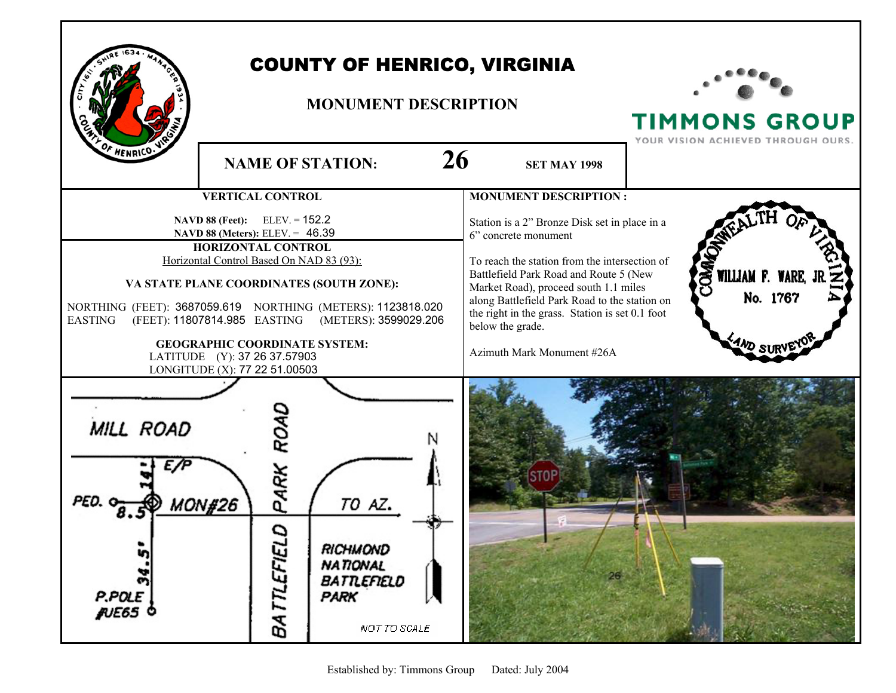

## COUNTY OF HENRICO, VIRGINIA

## **MONUMENT DESCRIPTION**



TIMMONS GROUP